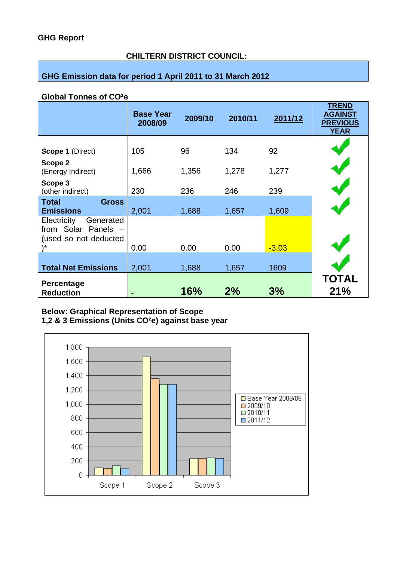# **CHILTERN DISTRICT COUNCIL:**

# **GHG Emission data for period 1 April 2011 to 31 March 2012**

#### **Global Tonnes of CO²e**

|                                                                                | <b>Base Year</b><br>2008/09 | 2009/10 | 2010/11 | 2011/12 | <b>TREND</b><br><b>AGAINST</b><br><b>PREVIOUS</b><br><b>YEAR</b> |
|--------------------------------------------------------------------------------|-----------------------------|---------|---------|---------|------------------------------------------------------------------|
| Scope 1 (Direct)                                                               | 105                         | 96      | 134     | 92      |                                                                  |
| Scope 2<br>(Energy Indirect)                                                   | 1,666                       | 1,356   | 1,278   | 1,277   |                                                                  |
| Scope 3<br>(other indirect)                                                    | 230                         | 236     | 246     | 239     |                                                                  |
| <b>Total</b><br><b>Gross</b><br><b>Emissions</b>                               | 2,001                       | 1,688   | 1,657   | 1,609   |                                                                  |
| Electricity<br>Generated<br>from Solar Panels -<br>(used so not deducted<br>\* | 0.00                        | 0.00    | 0.00    | $-3.03$ |                                                                  |
| <b>Total Net Emissions</b>                                                     | 2,001                       | 1,688   | 1,657   | 1609    |                                                                  |
| Percentage<br><b>Reduction</b>                                                 |                             | 16%     | 2%      | 3%      | <b>TOTAL</b><br>21%                                              |

#### **Below: Graphical Representation of Scope 1,2 & 3 Emissions (Units CO²e) against base year**

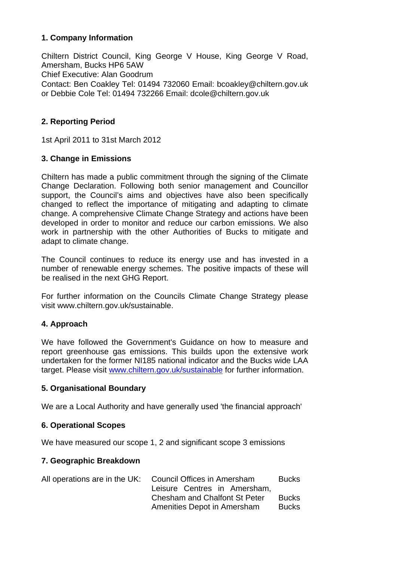## **1. Company Information**

Chiltern District Council, King George V House, King George V Road, Amersham, Bucks HP6 5AW Chief Executive: Alan Goodrum Contact: Ben Coakley Tel: 01494 732060 Email: bcoakley@chiltern.gov.uk or Debbie Cole Tel: 01494 732266 Email: dcole@chiltern.gov.uk

# **2. Reporting Period**

1st April 2011 to 31st March 2012

#### **3. Change in Emissions**

Chiltern has made a public commitment through the signing of the Climate Change Declaration. Following both senior management and Councillor support, the Council's aims and objectives have also been specifically changed to reflect the importance of mitigating and adapting to climate change. A comprehensive Climate Change Strategy and actions have been developed in order to monitor and reduce our carbon emissions. We also work in partnership with the other Authorities of Bucks to mitigate and adapt to climate change.

The Council continues to reduce its energy use and has invested in a number of renewable energy schemes. The positive impacts of these will be realised in the next GHG Report.

For further information on the Councils Climate Change Strategy please visit www.chiltern.gov.uk/sustainable.

## **4. Approach**

We have followed the Government's Guidance on how to measure and report greenhouse gas emissions. This builds upon the extensive work undertaken for the former NI185 national indicator and the Bucks wide LAA target. Please visit www.chiltern.gov.uk/sustainable for further information.

## **5. Organisational Boundary**

We are a Local Authority and have generally used 'the financial approach'

## **6. Operational Scopes**

We have measured our scope 1, 2 and significant scope 3 emissions

## **7. Geographic Breakdown**

| All operations are in the UK: | Council Offices in Amersham<br>Leisure Centres in Amersham,         | Bucks                        |
|-------------------------------|---------------------------------------------------------------------|------------------------------|
|                               | <b>Chesham and Chalfont St Peter</b><br>Amenities Depot in Amersham | <b>Bucks</b><br><b>Bucks</b> |